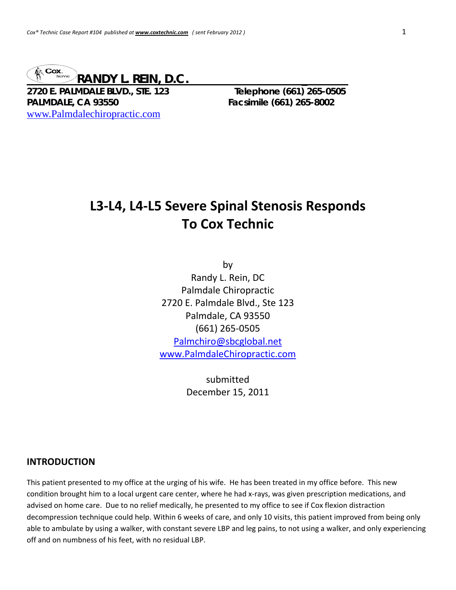

**2720 E. PALMDALE BLVD., STE. 123 Telephone (661) 265-0505 PALMDALE, CA 93550 Facsimile (661) 265-8002**  www.Palmdalechiropractic.com

# **L3‐L4, L4‐L5 Severe Spinal Stenosis Responds To Cox Technic**

by Randy L. Rein, DC Palmdale Chiropractic 2720 E. Palmdale Blvd., Ste 123 Palmdale, CA 93550 (661) 265‐0505 Palmchiro@sbcglobal.net www.PalmdaleChiropractic.com

> submitted December 15, 2011

#### **INTRODUCTION**

This patient presented to my office at the urging of his wife. He has been treated in my office before. This new condition brought him to a local urgent care center, where he had x-rays, was given prescription medications, and advised on home care. Due to no relief medically, he presented to my office to see if Cox flexion distraction decompression technique could help. Within 6 weeks of care, and only 10 visits, this patient improved from being only able to ambulate by using a walker, with constant severe LBP and leg pains, to not using a walker, and only experiencing off and on numbness of his feet, with no residual LBP.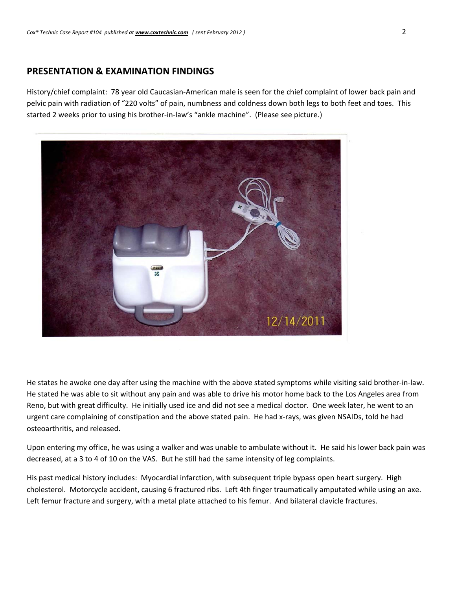# **PRESENTATION & EXAMINATION FINDINGS**

History/chief complaint: 78 year old Caucasian‐American male is seen for the chief complaint of lower back pain and pelvic pain with radiation of "220 volts" of pain, numbness and coldness down both legs to both feet and toes. This started 2 weeks prior to using his brother-in-law's "ankle machine". (Please see picture.)



He states he awoke one day after using the machine with the above stated symptoms while visiting said brother-in-law. He stated he was able to sit without any pain and was able to drive his motor home back to the Los Angeles area from Reno, but with great difficulty. He initially used ice and did not see a medical doctor. One week later, he went to an urgent care complaining of constipation and the above stated pain. He had x-rays, was given NSAIDs, told he had osteoarthritis, and released.

Upon entering my office, he was using a walker and was unable to ambulate without it. He said his lower back pain was decreased, at a 3 to 4 of 10 on the VAS. But he still had the same intensity of leg complaints.

His past medical history includes: Myocardial infarction, with subsequent triple bypass open heart surgery. High cholesterol. Motorcycle accident, causing 6 fractured ribs. Left 4th finger traumatically amputated while using an axe. Left femur fracture and surgery, with a metal plate attached to his femur. And bilateral clavicle fractures.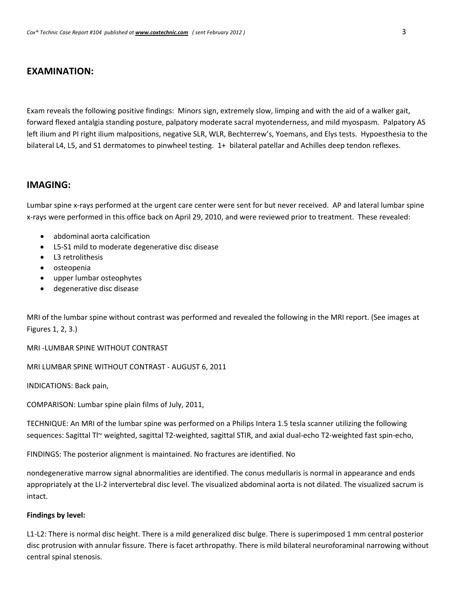# **EXAMINATION:**

Exam reveals the following positive findings: Minors sign, extremely slow, limping and with the aid of a walker gait, forward flexed antalgia standing posture, palpatory moderate sacral myotenderness, and mild myospasm. Palpatory AS left ilium and PI right ilium malpositions, negative SLR, WLR, Bechterrew's, Yoemans, and Elys tests. Hypoesthesia to the bilateral L4, L5, and S1 dermatomes to pinwheel testing. 1+ bilateral patellar and Achilles deep tendon reflexes.

### **IMAGING:**

Lumbar spine x-rays performed at the urgent care center were sent for but never received. AP and lateral lumbar spine x‐rays were performed in this office back on April 29, 2010, and were reviewed prior to treatment. These revealed:

- abdominal aorta calcification
- L5‐S1 mild to moderate degenerative disc disease
- L3 retrolithesis
- osteopenia
- upper lumbar osteophytes
- degenerative disc disease

MRI of the lumbar spine without contrast was performed and revealed the following in the MRI report. (See images at Figures 1, 2, 3.)

MRI ‐LUMBAR SPINE WITHOUT CONTRAST

MRI LUMBAR SPINE WITHOUT CONTRAST ‐ AUGUST 6, 2011

INDICATIONS: Back pain,

COMPARISON: Lumbar spine plain films of July, 2011,

TECHNIQUE: An MRI of the lumbar spine was performed on a Philips Intera 1.5 tesla scanner utilizing the following sequences: Sagittal Tl~ weighted, sagittal T2-weighted, sagittal STIR, and axial dual-echo T2-weighted fast spin-echo,

FINDINGS: The posterior alignment is maintained. No fractures are identified. No

nondegenerative marrow signal abnormalities are identified. The conus medullaris is normal in appearance and ends appropriately at the Ll‐2 intervertebral disc level. The visualized abdominal aorta is not dilated. The visualized sacrum is intact.

#### **Findings by level:**

L1-L2: There is normal disc height. There is a mild generalized disc bulge. There is superimposed 1 mm central posterior disc protrusion with annular fissure. There is facet arthropathy. There is mild bilateral neuroforaminal narrowing without central spinal stenosis.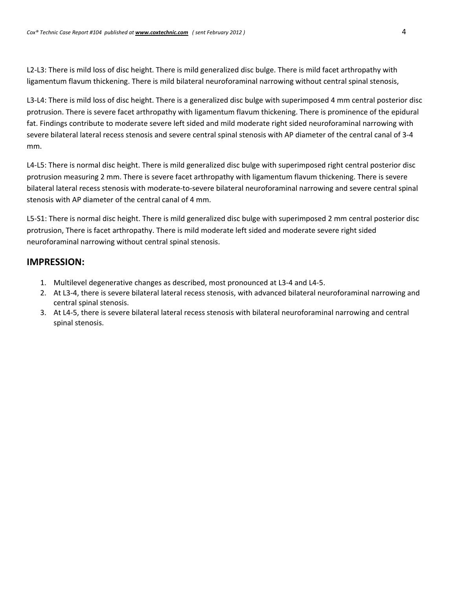L2-L3: There is mild loss of disc height. There is mild generalized disc bulge. There is mild facet arthropathy with ligamentum flavum thickening. There is mild bilateral neuroforaminal narrowing without central spinal stenosis,

L3‐L4: There is mild loss of disc height. There is a generalized disc bulge with superimposed 4 mm central posterior disc protrusion. There is severe facet arthropathy with ligamentum flavum thickening. There is prominence of the epidural fat. Findings contribute to moderate severe left sided and mild moderate right sided neuroforaminal narrowing with severe bilateral lateral recess stenosis and severe central spinal stenosis with AP diameter of the central canal of 3‐4 mm.

L4-L5: There is normal disc height. There is mild generalized disc bulge with superimposed right central posterior disc protrusion measuring 2 mm. There is severe facet arthropathy with ligamentum flavum thickening. There is severe bilateral lateral recess stenosis with moderate‐to‐severe bilateral neuroforaminal narrowing and severe central spinal stenosis with AP diameter of the central canal of 4 mm.

L5-S1: There is normal disc height. There is mild generalized disc bulge with superimposed 2 mm central posterior disc protrusion, There is facet arthropathy. There is mild moderate left sided and moderate severe right sided neuroforaminal narrowing without central spinal stenosis.

### **IMPRESSION:**

- 1. Multilevel degenerative changes as described, most pronounced at L3‐4 and L4‐5.
- 2. At L3‐4, there is severe bilateral lateral recess stenosis, with advanced bilateral neuroforaminal narrowing and central spinal stenosis.
- 3. At L4‐5, there is severe bilateral lateral recess stenosis with bilateral neuroforaminal narrowing and central spinal stenosis.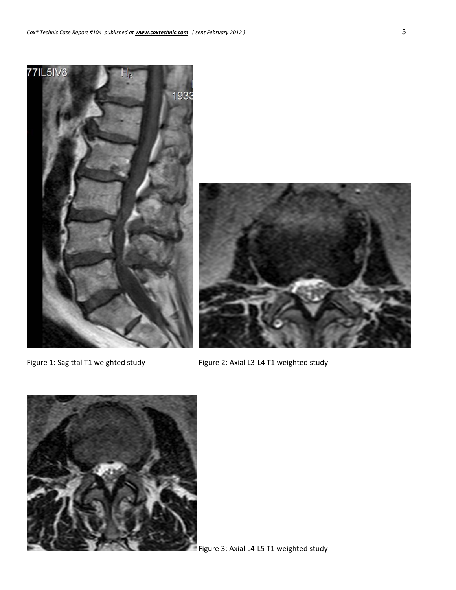

Figure 1: Sagittal T1 weighted study Figure 2: Axial L3‐L4 T1 weighted study



Figure 3: Axial L4‐L5 T1 weighted study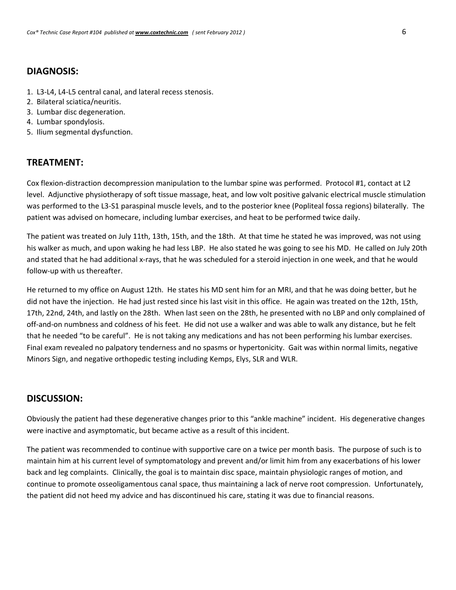# **DIAGNOSIS:**

- 1. L3‐L4, L4‐L5 central canal, and lateral recess stenosis.
- 2. Bilateral sciatica/neuritis.
- 3. Lumbar disc degeneration.
- 4. Lumbar spondylosis.
- 5. Ilium segmental dysfunction.

# **TREATMENT:**

Cox flexion‐distraction decompression manipulation to the lumbar spine was performed. Protocol #1, contact at L2 level. Adjunctive physiotherapy of soft tissue massage, heat, and low volt positive galvanic electrical muscle stimulation was performed to the L3‐S1 paraspinal muscle levels, and to the posterior knee (Popliteal fossa regions) bilaterally. The patient was advised on homecare, including lumbar exercises, and heat to be performed twice daily.

The patient was treated on July 11th, 13th, 15th, and the 18th. At that time he stated he was improved, was not using his walker as much, and upon waking he had less LBP. He also stated he was going to see his MD. He called on July 20th and stated that he had additional x-rays, that he was scheduled for a steroid injection in one week, and that he would follow‐up with us thereafter.

He returned to my office on August 12th. He states his MD sent him for an MRI, and that he was doing better, but he did not have the injection. He had just rested since his last visit in this office. He again was treated on the 12th, 15th, 17th, 22nd, 24th, and lastly on the 28th. When last seen on the 28th, he presented with no LBP and only complained of off‐and‐on numbness and coldness of his feet. He did not use a walker and was able to walk any distance, but he felt that he needed "to be careful". He is not taking any medications and has not been performing his lumbar exercises. Final exam revealed no palpatory tenderness and no spasms or hypertonicity. Gait was within normal limits, negative Minors Sign, and negative orthopedic testing including Kemps, Elys, SLR and WLR.

# **DISCUSSION:**

Obviously the patient had these degenerative changes prior to this "ankle machine" incident. His degenerative changes were inactive and asymptomatic, but became active as a result of this incident.

The patient was recommended to continue with supportive care on a twice per month basis. The purpose of such is to maintain him at his current level of symptomatology and prevent and/or limit him from any exacerbations of his lower back and leg complaints. Clinically, the goal is to maintain disc space, maintain physiologic ranges of motion, and continue to promote osseoligamentous canal space, thus maintaining a lack of nerve root compression. Unfortunately, the patient did not heed my advice and has discontinued his care, stating it was due to financial reasons.